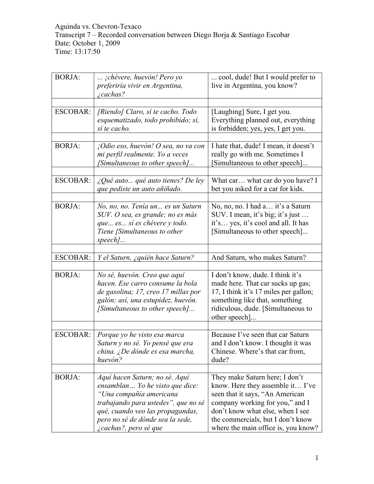Aguinda vs. Chevron-Texaco Transcript 7 – Recorded conversation between Diego Borja & Santiago Escobar Date: October 1, 2009 Time: 13:17:50

| <b>BORJA:</b>   | jchévere, huevón! Pero yo<br>preferiría vivir en Argentina,<br><i>i</i> cachas?                                                                                                                                                      | cool, dude! But I would prefer to<br>live in Argentina, you know?                                                                                                                                                                                        |
|-----------------|--------------------------------------------------------------------------------------------------------------------------------------------------------------------------------------------------------------------------------------|----------------------------------------------------------------------------------------------------------------------------------------------------------------------------------------------------------------------------------------------------------|
|                 |                                                                                                                                                                                                                                      |                                                                                                                                                                                                                                                          |
| <b>ESCOBAR:</b> | [Riendo] Claro, sí te cacho. Todo<br>esquematizado, todo prohibido; sí,<br>sí te cacho.                                                                                                                                              | [Laughing] Sure, I get you.<br>Everything planned out, everything<br>is forbidden; yes, yes, I get you.                                                                                                                                                  |
|                 |                                                                                                                                                                                                                                      |                                                                                                                                                                                                                                                          |
| <b>BORJA:</b>   | $_1$ Odio eso, huevón! O sea, no va con<br>mi perfil realmente. Yo a veces<br>[Simultaneous to other speech]                                                                                                                         | I hate that, dude! I mean, it doesn't<br>really go with me. Sometimes I<br>Simultaneous to other speech]                                                                                                                                                 |
|                 |                                                                                                                                                                                                                                      |                                                                                                                                                                                                                                                          |
| <b>ESCOBAR:</b> | $\angle$ Qué auto qué auto tienes? De ley<br>que pediste un auto añiñado.                                                                                                                                                            | What car what car do you have? I<br>bet you asked for a car for kids.                                                                                                                                                                                    |
|                 |                                                                                                                                                                                                                                      |                                                                                                                                                                                                                                                          |
| <b>BORJA:</b>   | No, no, no. Tenía un es un Saturn<br>SUV. O sea, es grande; no es más<br>que es sí es chévere y todo.<br>Tiene [Simultaneous to other<br>$speed$                                                                                     | No, no, no. I had a it's a Saturn<br>SUV. I mean, it's big; it's just<br>it's yes, it's cool and all. It has<br>[Simultaneous to other speech]                                                                                                           |
|                 |                                                                                                                                                                                                                                      |                                                                                                                                                                                                                                                          |
| <b>ESCOBAR:</b> | Y el Saturn, ¿quién hace Saturn?                                                                                                                                                                                                     | And Saturn, who makes Saturn?                                                                                                                                                                                                                            |
|                 |                                                                                                                                                                                                                                      |                                                                                                                                                                                                                                                          |
| <b>BORJA:</b>   | No sé, huevón. Creo que aquí<br>hacen. Ese carro consume la bola<br>de gasolina; 17, creo 17 millas por<br>galón; así, una estupidez, huevón.<br>[Simultaneous to other speech]                                                      | I don't know, dude. I think it's<br>made here. That car sucks up gas;<br>17, I think it's 17 miles per gallon;<br>something like that, something<br>ridiculous, dude. [Simultaneous to<br>other speech]                                                  |
|                 |                                                                                                                                                                                                                                      |                                                                                                                                                                                                                                                          |
| <b>ESCOBAR:</b> | Porque yo he visto esa marca<br>Saturn y no sé. Yo pensé que era<br>china. ¿De dónde es esa marcha,<br>huevón?                                                                                                                       | Because I've seen that car Saturn<br>and I don't know. I thought it was<br>Chinese. Where's that car from,<br>dude?                                                                                                                                      |
|                 |                                                                                                                                                                                                                                      |                                                                                                                                                                                                                                                          |
| <b>BORJA:</b>   | Aquí hacen Saturn; no sé. Aquí<br>ensamblan Yo he visto que dice:<br>"Una compañía americana<br>trabajando para ustedes", que no sé<br>qué, cuando veo las propagandas,<br>pero no sé de dónde sea la sede,<br>¿cachas?, pero sé que | They make Saturn here; I don't<br>know. Here they assemble it I've<br>seen that it says, "An American<br>company working for you," and I<br>don't know what else, when I see<br>the commercials, but I don't know<br>where the main office is, you know? |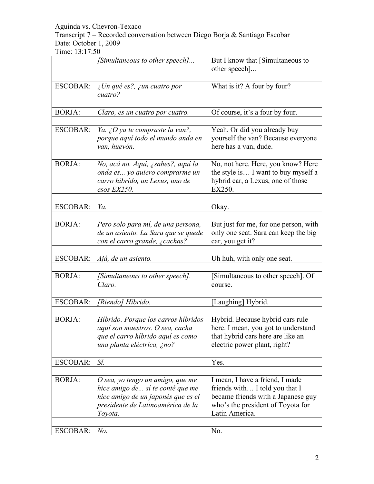Transcript 7 – Recorded conversation between Diego Borja & Santiago Escobar Date: October 1, 2009

|                 | [Simultaneous to other speech]                                                                                                                               | But I know that [Simultaneous to<br>other speech]                                                                                                              |
|-----------------|--------------------------------------------------------------------------------------------------------------------------------------------------------------|----------------------------------------------------------------------------------------------------------------------------------------------------------------|
|                 |                                                                                                                                                              |                                                                                                                                                                |
| <b>ESCOBAR:</b> | $\zeta$ Un qué es?, $\zeta$ un cuatro por<br>cuatro?                                                                                                         | What is it? A four by four?                                                                                                                                    |
| <b>BORJA:</b>   | Claro, es un cuatro por cuatro.                                                                                                                              | Of course, it's a four by four.                                                                                                                                |
| <b>ESCOBAR:</b> | Ya. ¿O ya te compraste la van?,<br>porque aquí todo el mundo anda en<br>van, huevón.                                                                         | Yeah. Or did you already buy<br>yourself the van? Because everyone<br>here has a van, dude.                                                                    |
| <b>BORJA:</b>   | No, acá no. Aquí, ¿sabes?, aquí la<br>onda es yo quiero comprarme un<br>carro híbrido, un Lexus, uno de<br>esos EX250.                                       | No, not here. Here, you know? Here<br>the style is I want to buy myself a<br>hybrid car, a Lexus, one of those<br>EX250.                                       |
|                 |                                                                                                                                                              |                                                                                                                                                                |
| <b>ESCOBAR:</b> | Ya.                                                                                                                                                          | Okay.                                                                                                                                                          |
| <b>BORJA:</b>   | Pero solo para mí, de una persona,<br>de un asiento. La Sara que se quede<br>con el carro grande, ¿cachas?                                                   | But just for me, for one person, with<br>only one seat. Sara can keep the big<br>car, you get it?                                                              |
| <b>ESCOBAR:</b> | Ajá, de un asiento.                                                                                                                                          | Uh huh, with only one seat.                                                                                                                                    |
| <b>BORJA:</b>   | [Simultaneous to other speech].<br>Claro.                                                                                                                    | [Simultaneous to other speech]. Of<br>course.                                                                                                                  |
| ESCOBAR:        | [Riendo] Híbrido.                                                                                                                                            | [Laughing] Hybrid.                                                                                                                                             |
|                 |                                                                                                                                                              |                                                                                                                                                                |
| <b>BORJA:</b>   | Híbrido. Porque los carros híbridos<br>aquí son maestros. O sea, cacha<br>que el carro híbrido aquí es como<br>una planta eléctrica, ¿no?                    | Hybrid. Because hybrid cars rule<br>here. I mean, you got to understand<br>that hybrid cars here are like an<br>electric power plant, right?                   |
| <b>ESCOBAR:</b> | Sí.                                                                                                                                                          | Yes.                                                                                                                                                           |
|                 |                                                                                                                                                              |                                                                                                                                                                |
| <b>BORJA:</b>   | $O$ sea, yo tengo un amigo, que me<br>hice amigo de sí te conté que me<br>hice amigo de un japonés que es el<br>presidente de Latinoamérica de la<br>Toyota. | I mean, I have a friend, I made<br>friends with I told you that I<br>became friends with a Japanese guy<br>who's the president of Toyota for<br>Latin America. |
|                 |                                                                                                                                                              |                                                                                                                                                                |
| <b>ESCOBAR:</b> | $No$ .                                                                                                                                                       | No.                                                                                                                                                            |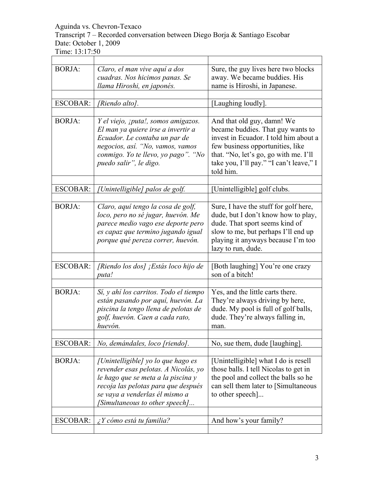# Transcript 7 – Recorded conversation between Diego Borja & Santiago Escobar Date: October 1, 2009

| <b>BORJA:</b>   | Claro, el man vive aquí a dos<br>cuadras. Nos hicimos panas. Se<br>llama Hiroshi, en japonés.                                                                                                                               | Sure, the guy lives here two blocks<br>away. We became buddies. His<br>name is Hiroshi, in Japanese.                                                                                                                                          |
|-----------------|-----------------------------------------------------------------------------------------------------------------------------------------------------------------------------------------------------------------------------|-----------------------------------------------------------------------------------------------------------------------------------------------------------------------------------------------------------------------------------------------|
|                 |                                                                                                                                                                                                                             |                                                                                                                                                                                                                                               |
| <b>ESCOBAR:</b> | [Riendo alto].                                                                                                                                                                                                              | [Laughing loudly].                                                                                                                                                                                                                            |
|                 |                                                                                                                                                                                                                             |                                                                                                                                                                                                                                               |
| <b>BORJA:</b>   | Y el viejo, ¡puta!, somos amigazos.<br>El man ya quiere irse a invertir a<br>Ecuador. Le contaba un par de<br>negocios, así. "No, vamos, vamos<br>conmigo. Yo te llevo, yo pago". "No<br>puedo salir", le digo.             | And that old guy, damn! We<br>became buddies. That guy wants to<br>invest in Ecuador. I told him about a<br>few business opportunities, like<br>that. "No, let's go, go with me. I'll<br>take you, I'll pay." "I can't leave," I<br>told him. |
| <b>ESCOBAR:</b> |                                                                                                                                                                                                                             |                                                                                                                                                                                                                                               |
|                 | [Unintelligible] palos de golf.                                                                                                                                                                                             | [Unintelligible] golf clubs.                                                                                                                                                                                                                  |
| <b>BORJA:</b>   | Claro, aquí tengo la cosa de golf,<br>loco, pero no sé jugar, huevón. Me<br>parece medio vago ese deporte pero<br>es capaz que termino jugando igual<br>porque qué pereza correr, huevón.                                   | Sure, I have the stuff for golf here,<br>dude, but I don't know how to play,<br>dude. That sport seems kind of<br>slow to me, but perhaps I'll end up<br>playing it anyways because I'm too<br>lazy to run, dude.                             |
|                 |                                                                                                                                                                                                                             |                                                                                                                                                                                                                                               |
| <b>ESCOBAR:</b> | [Riendo los dos] ¡Estás loco hijo de<br>puta!                                                                                                                                                                               | [Both laughing] You're one crazy<br>son of a bitch!                                                                                                                                                                                           |
|                 |                                                                                                                                                                                                                             |                                                                                                                                                                                                                                               |
| <b>BORJA:</b>   | Sí, y ahí los carritos. Todo el tiempo<br>están pasando por aquí, huevón. La<br>piscina la tengo llena de pelotas de<br>golf, huevón. Caen a cada rato,<br>huevón.                                                          | Yes, and the little carts there.<br>They're always driving by here,<br>dude. My pool is full of golf balls,<br>dude. They're always falling in,<br>man.                                                                                       |
| <b>ESCOBAR:</b> | No, demándales, loco [riendo].                                                                                                                                                                                              | No, sue them, dude [laughing].                                                                                                                                                                                                                |
|                 |                                                                                                                                                                                                                             |                                                                                                                                                                                                                                               |
| <b>BORJA:</b>   | [Unintelligible] yo lo que hago es<br>revender esas pelotas. A Nicolás, yo<br>le hago que se meta a la piscina y<br>recoja las pelotas para que después<br>se vaya a venderlas él mismo a<br>[Simultaneous to other speech] | [Unintelligible] what I do is resell<br>those balls. I tell Nicolas to get in<br>the pool and collect the balls so he<br>can sell them later to [Simultaneous]<br>to other speech                                                             |
| <b>ESCOBAR:</b> | $\lambda$ Y cómo está tu familia?                                                                                                                                                                                           | And how's your family?                                                                                                                                                                                                                        |
|                 |                                                                                                                                                                                                                             |                                                                                                                                                                                                                                               |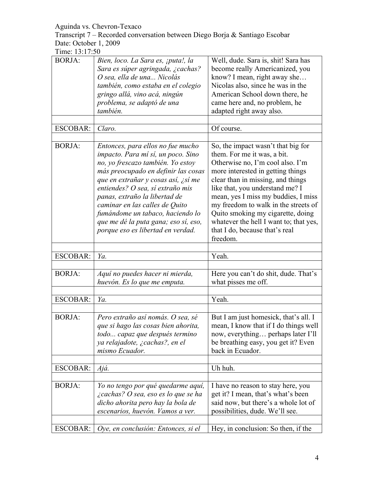Transcript 7 – Recorded conversation between Diego Borja & Santiago Escobar Date: October 1, 2009

| <b>BORJA:</b>   | Bien, loco. La Sara es, ¡puta!, la<br>Sara es súper agringada, ¿cachas?<br>O sea, ella de una Nicolás<br>también, como estaba en el colegio<br>gringo allá, vino acá, ningún<br>problema, se adaptó de una                                                                                                                                                                                                         | Well, dude. Sara is, shit! Sara has<br>become really Americanized, you<br>know? I mean, right away she<br>Nicolas also, since he was in the<br>American School down there, he<br>came here and, no problem, he                                                                                                                                                                                                                 |
|-----------------|--------------------------------------------------------------------------------------------------------------------------------------------------------------------------------------------------------------------------------------------------------------------------------------------------------------------------------------------------------------------------------------------------------------------|--------------------------------------------------------------------------------------------------------------------------------------------------------------------------------------------------------------------------------------------------------------------------------------------------------------------------------------------------------------------------------------------------------------------------------|
|                 | también.                                                                                                                                                                                                                                                                                                                                                                                                           | adapted right away also.                                                                                                                                                                                                                                                                                                                                                                                                       |
| <b>ESCOBAR:</b> | Claro.                                                                                                                                                                                                                                                                                                                                                                                                             | Of course.                                                                                                                                                                                                                                                                                                                                                                                                                     |
| <b>BORJA:</b>   | Entonces, para ellos no fue mucho<br>impacto. Para mí sí, un poco. Sino<br>no, yo frescazo también. Yo estoy<br>más preocupado en definir las cosas<br>que en extrañar y cosas así, ¿sí me<br>entiendes? O sea, sí extraño mis<br>panas, extraño la libertad de<br>caminar en las calles de Quito<br>fumándome un tabaco, haciendo lo<br>que me dé la puta gana; eso sí, eso,<br>porque eso es libertad en verdad. | So, the impact wasn't that big for<br>them. For me it was, a bit.<br>Otherwise no, I'm cool also. I'm<br>more interested in getting things<br>clear than in missing, and things<br>like that, you understand me? I<br>mean, yes I miss my buddies, I miss<br>my freedom to walk in the streets of<br>Quito smoking my cigarette, doing<br>whatever the hell I want to; that yes,<br>that I do, because that's real<br>freedom. |
| <b>ESCOBAR:</b> | Ya.                                                                                                                                                                                                                                                                                                                                                                                                                | Yeah.                                                                                                                                                                                                                                                                                                                                                                                                                          |
| <b>BORJA:</b>   | Aquí no puedes hacer ni mierda,<br>huevón. Es lo que me emputa.                                                                                                                                                                                                                                                                                                                                                    | Here you can't do shit, dude. That's<br>what pisses me off.                                                                                                                                                                                                                                                                                                                                                                    |
| <b>ESCOBAR:</b> | Ya.                                                                                                                                                                                                                                                                                                                                                                                                                | Yeah.                                                                                                                                                                                                                                                                                                                                                                                                                          |
| <b>BORJA:</b>   | Pero extraño así nomás. O sea, sé<br>que si hago las cosas bien ahorita,<br>todo capaz que después termino<br>ya relajadote, ¿cachas?, en el<br>mismo Ecuador.                                                                                                                                                                                                                                                     | But I am just homesick, that's all. I<br>mean, I know that if I do things well<br>now, everything perhaps later I'll<br>be breathing easy, you get it? Even<br>back in Ecuador.                                                                                                                                                                                                                                                |
| <b>ESCOBAR:</b> | Ajá.                                                                                                                                                                                                                                                                                                                                                                                                               | Uh huh.                                                                                                                                                                                                                                                                                                                                                                                                                        |
| <b>BORJA:</b>   | Yo no tengo por qué quedarme aquí,<br>¿cachas? O sea, eso es lo que se ha<br>dicho ahorita pero hay la bola de<br>escenarios, huevón. Vamos a ver.                                                                                                                                                                                                                                                                 | I have no reason to stay here, you<br>get it? I mean, that's what's been<br>said now, but there's a whole lot of<br>possibilities, dude. We'll see.                                                                                                                                                                                                                                                                            |
| ESCOBAR:        | Oye, en conclusión: Entonces, si el                                                                                                                                                                                                                                                                                                                                                                                | Hey, in conclusion: So then, if the                                                                                                                                                                                                                                                                                                                                                                                            |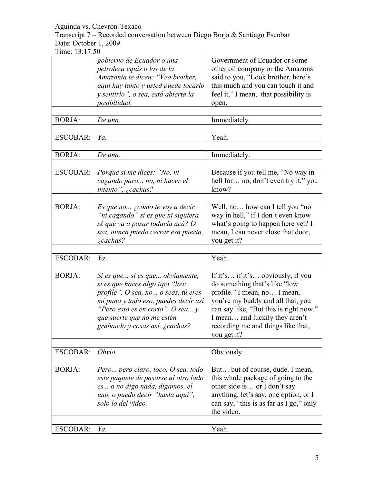Transcript 7 – Recorded conversation between Diego Borja & Santiago Escobar Date: October 1, 2009

|                 | gobierno de Ecuador o una<br>petrolera equis o los de la | Government of Ecuador or some<br>other oil company or the Amazons |
|-----------------|----------------------------------------------------------|-------------------------------------------------------------------|
|                 | Amazonía te dicen: "Vea brother,                         | said to you, "Look brother, here's                                |
|                 | aquí hay tanto y usted puede tocarlo                     | this much and you can touch it and                                |
|                 | y sentirlo", o sea, está abierta la                      | feel it," I mean, that possibility is                             |
|                 | posibilidad.                                             | open.                                                             |
|                 |                                                          |                                                                   |
| <b>BORJA:</b>   | De una.                                                  | Immediately.                                                      |
|                 |                                                          |                                                                   |
| <b>ESCOBAR:</b> | Ya.                                                      | Yeah.                                                             |
|                 |                                                          |                                                                   |
| <b>BORJA:</b>   | De una.                                                  | Immediately.                                                      |
|                 |                                                          |                                                                   |
| <b>ESCOBAR:</b> | Porque si me dices: "No, ni                              | Because if you tell me, "No way in                                |
|                 | cagando para no, ni hacer el                             | hell for no, don't even try it," you                              |
|                 | intento", ¿cachas?                                       | know?                                                             |
|                 |                                                          |                                                                   |
| <b>BORJA:</b>   | Es que no ¿cómo te voy a decir                           | Well, no how can I tell you "no                                   |
|                 | "ni cagando" si es que ni siquiera                       | way in hell," if I don't even know                                |
|                 | sé qué va a pasar todavía acá? O                         | what's going to happen here yet? I                                |
|                 | sea, nunca puedo cerrar esa puerta,                      | mean, I can never close that door,                                |
|                 | <i>i</i> cachas?                                         | you get it?                                                       |
|                 |                                                          |                                                                   |
| <b>ESCOBAR:</b> | Ya.                                                      | Yeah.                                                             |
|                 |                                                          |                                                                   |
| <b>BORJA:</b>   | Si es que si es que obviamente,                          | If it's if it's obviously, if you                                 |
|                 | si es que haces algo tipo "low                           | do something that's like "low                                     |
|                 | profile". O sea, no o seas, tú eres                      | profile." I mean, no I mean,                                      |
|                 | mi pana y todo eso, puedes decir así                     | you're my buddy and all that, you                                 |
|                 | "Pero esto es en corto". O sea $y$                       | can say like, "But this is right now."                            |
|                 | que suerte que no me estén                               | I mean and luckily they aren't                                    |
|                 | grabando y cosas así, ¿cachas?                           | recording me and things like that,                                |
|                 |                                                          | you get it?                                                       |
|                 |                                                          |                                                                   |
| <b>ESCOBAR:</b> | Obvio.                                                   | Obviously.                                                        |
|                 |                                                          |                                                                   |
| <b>BORJA:</b>   | Pero pero claro, loco. O sea, todo                       | But but of course, dude. I mean,                                  |
|                 | este paquete de pasarse al otro lado                     | this whole package of going to the                                |
|                 | es o no digo nada, digamos, el                           | other side is or I don't say                                      |
|                 | uno, o puedo decir "hasta aquí",                         | anything, let's say, one option, or I                             |
|                 | solo lo del video.                                       | can say, "this is as far as I go," only                           |
|                 |                                                          | the video.                                                        |
|                 |                                                          |                                                                   |
| <b>ESCOBAR:</b> | Ya.                                                      | Yeah.                                                             |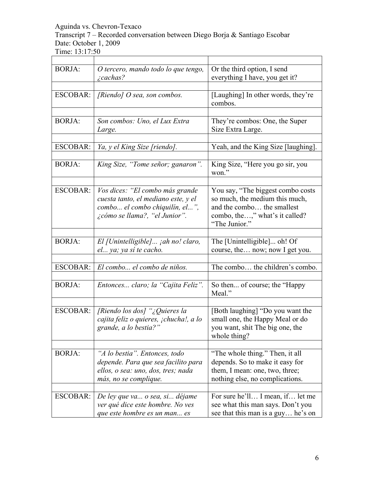Transcript 7 – Recorded conversation between Diego Borja & Santiago Escobar Date: October 1, 2009

Time: 13:17:50

| <b>BORJA:</b>   | O tercero, mando todo lo que tengo,<br>$\zeta$ cachas?                                                                                    | Or the third option, I send<br>everything I have, you get it?                                                                                        |
|-----------------|-------------------------------------------------------------------------------------------------------------------------------------------|------------------------------------------------------------------------------------------------------------------------------------------------------|
| <b>ESCOBAR:</b> | [Riendo] $O$ sea, son combos.                                                                                                             | [Laughing] In other words, they're<br>combos.                                                                                                        |
| <b>BORJA:</b>   | Son combos: Uno, el Lux Extra<br>Large.                                                                                                   | They're combos: One, the Super<br>Size Extra Large.                                                                                                  |
| <b>ESCOBAR:</b> | Ya, y el King Size [riendo].                                                                                                              | Yeah, and the King Size [laughing].                                                                                                                  |
| <b>BORJA:</b>   | King Size, "Tome señor; ganaron".                                                                                                         | King Size, "Here you go sir, you<br>won."                                                                                                            |
| <b>ESCOBAR:</b> | Vos dices: "El combo más grande<br>cuesta tanto, el mediano este, y el<br>combo el combo chiquilín, el",<br>¿cómo se llama?, "el Junior". | You say, "The biggest combo costs<br>so much, the medium this much,<br>and the combo the smallest<br>combo, the," what's it called?<br>"The Junior." |
| <b>BORJA:</b>   | El [Unintelligible] jah no! claro,<br>el ya; ya sí te cacho.                                                                              | The [Unintelligible] oh! Of<br>course, the now; now I get you.                                                                                       |
| <b>ESCOBAR:</b> | El combo el combo de niños.                                                                                                               | The combo the children's combo.                                                                                                                      |
| <b>BORJA:</b>   | Entonces claro; la "Cajita Feliz".                                                                                                        | So then of course; the "Happy"<br>Meal."                                                                                                             |
| <b>ESCOBAR:</b> | [Riendo los dos] "¿Quieres la<br>cajita feliz o quieres, ¡chucha!, a lo<br>grande, a lo bestia?"                                          | [Both laughing] "Do you want the<br>small one, the Happy Meal or do<br>you want, shit The big one, the<br>whole thing?                               |
| <b>BORJA:</b>   | "A lo bestia". Entonces, todo<br>depende. Para que sea facilito para<br>ellos, o sea: uno, dos, tres; nada<br>más, no se complique.       | "The whole thing." Then, it all<br>depends. So to make it easy for<br>them, I mean: one, two, three;<br>nothing else, no complications.              |
| <b>ESCOBAR:</b> | De ley que va o sea, si déjame<br>ver qué dice este hombre. No ves<br>que este hombre es un man es                                        | For sure he'll I mean, if let me<br>see what this man says. Don't you<br>see that this man is a guy he's on                                          |

ä,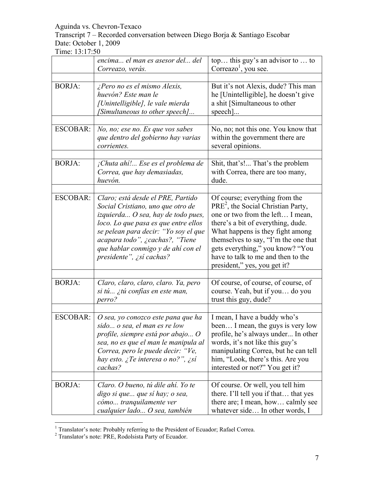Transcript 7 – Recorded conversation between Diego Borja & Santiago Escobar Date: October 1, 2009

|                 | encima el man es asesor del del<br>Correazo, verás.                                                                                                                                                                                                                                               | top this guy's an advisor to  to<br>Correazo <sup>1</sup> , you see.                                                                                                                                                                                                                                                                   |
|-----------------|---------------------------------------------------------------------------------------------------------------------------------------------------------------------------------------------------------------------------------------------------------------------------------------------------|----------------------------------------------------------------------------------------------------------------------------------------------------------------------------------------------------------------------------------------------------------------------------------------------------------------------------------------|
| <b>BORJA:</b>   | ¿Pero no es el mismo Alexis,<br>huevón? Este man le<br>[Unintelligible], le vale mierda<br>[Simultaneous to other speech]                                                                                                                                                                         | But it's not Alexis, dude? This man<br>he [Unintelligible], he doesn't give<br>a shit [Simultaneous to other<br>$specch$ ]                                                                                                                                                                                                             |
| ESCOBAR:        | No, no; ese no. Es que vos sabes<br>que dentro del gobierno hay varias<br>corrientes.                                                                                                                                                                                                             | No, no; not this one. You know that<br>within the government there are<br>several opinions.                                                                                                                                                                                                                                            |
| <b>BORJA:</b>   | ¡Chuta ahí! Ese es el problema de<br>Correa, que hay demasiadas,<br>huevón.                                                                                                                                                                                                                       | Shit, that's! That's the problem<br>with Correa, there are too many,<br>dude.                                                                                                                                                                                                                                                          |
| <b>ESCOBAR:</b> | Claro; está desde el PRE, Partido<br>Social Cristiano, uno que otro de<br>izquierda O sea, hay de todo pues,<br>loco. Lo que pasa es que entre ellos<br>se pelean para decir: "Yo soy el que<br>acapara todo", ¿cachas?, "Tiene<br>que hablar conmigo y de ahí con el<br>presidente", ¿sí cachas? | Of course; everything from the<br>$PRE2$ , the Social Christian Party,<br>one or two from the left I mean,<br>there's a bit of everything, dude.<br>What happens is they fight among<br>themselves to say, "I'm the one that<br>gets everything," you know? "You<br>have to talk to me and then to the<br>president," yes, you get it? |
| <b>BORJA:</b>   | Claro, claro, claro, claro. Ya, pero<br>si tú ¿tú confías en este man,<br>perro?                                                                                                                                                                                                                  | Of course, of course, of course, of<br>course. Yeah, but if you do you<br>trust this guy, dude?                                                                                                                                                                                                                                        |
| <b>ESCOBAR:</b> | O sea, yo conozco este pana que ha<br>sido o sea, el man es re low<br>profile, siempre está por abajo O<br>sea, no es que el man le manipula al<br>Correa, pero le puede decir: "Ve,<br>hay esto. ¿Te interesa o no?", ¿sí<br>cachas?                                                             | I mean, I have a buddy who's<br>been I mean, the guys is very low<br>profile, he's always under In other<br>words, it's not like this guy's<br>manipulating Correa, but he can tell<br>him, "Look, there's this. Are you<br>interested or not?" You get it?                                                                            |
| <b>BORJA:</b>   | Claro. O bueno, tú dile ahí. Yo te<br>digo si que que sí hay; o sea,<br>cómo tranquilamente ver<br>cualquier lado O sea, también                                                                                                                                                                  | Of course. Or well, you tell him<br>there. I'll tell you if that that yes<br>there are; I mean, how calmly see<br>whatever side In other words, I                                                                                                                                                                                      |

 <sup>1</sup> Translator's note: Probably referring to the President of Ecuador; Rafael Correa.

<sup>&</sup>lt;sup>2</sup> Translator's note: PRE, Rodolsista Party of Ecuador.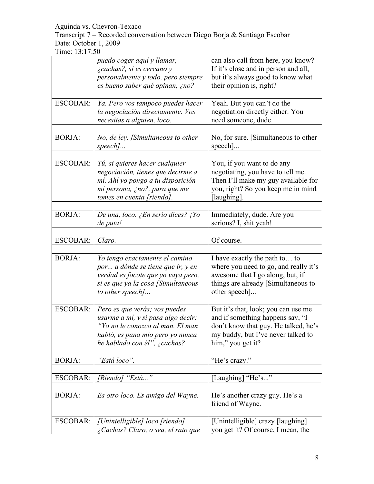Transcript 7 – Recorded conversation between Diego Borja & Santiago Escobar Date: October 1, 2009

|                 | puedo coger aquí y llamar,<br><i>i</i> cachas?, si es cercano y<br>personalmente y todo, pero siempre                                                                       | can also call from here, you know?<br>If it's close and in person and all,<br>but it's always good to know what                                                            |
|-----------------|-----------------------------------------------------------------------------------------------------------------------------------------------------------------------------|----------------------------------------------------------------------------------------------------------------------------------------------------------------------------|
|                 | es bueno saber qué opinan, ¿no?                                                                                                                                             | their opinion is, right?                                                                                                                                                   |
| <b>ESCOBAR:</b> | Ya. Pero vos tampoco puedes hacer<br>la negociación directamente. Vos<br>necesitas a alguien, loco.                                                                         | Yeah. But you can't do the<br>negotiation directly either. You<br>need someone, dude.                                                                                      |
| <b>BORJA:</b>   | No, de ley. [Simultaneous to other<br>$speed$                                                                                                                               | No, for sure. [Simultaneous to other<br>speech]                                                                                                                            |
| <b>ESCOBAR:</b> | Tú, si quieres hacer cualquier<br>negociación, tienes que decirme a<br>mí. Ahí yo pongo a tu disposición<br>mi persona, ¿no?, para que me<br>tomes en cuenta [riendo].      | You, if you want to do any<br>negotiating, you have to tell me.<br>Then I'll make my guy available for<br>you, right? So you keep me in mind<br>[laughing].                |
| <b>BORJA:</b>   | De una, loco. ¿En serio dices? ¡Yo<br>de puta!                                                                                                                              | Immediately, dude. Are you<br>serious? I, shit yeah!                                                                                                                       |
| <b>ESCOBAR:</b> | Claro.                                                                                                                                                                      | Of course.                                                                                                                                                                 |
| <b>BORJA:</b>   | Yo tengo exactamente el camino<br>por a dónde se tiene que ir, y en<br>verdad es focote que yo vaya pero,<br>si es que ya la cosa [Simultaneous<br>to other speech]         | I have exactly the path to to<br>where you need to go, and really it's<br>awesome that I go along, but, if<br>things are already [Simultaneous to<br>other speech]         |
| <b>ESCOBAR:</b> | Pero es que verás; vos puedes<br>usarme a mí, y si pasa algo decir:<br>"Yo no le conozco al man. El man<br>habló, es pana mío pero yo nunca<br>he hablado con él", ¿cachas? | But it's that, look; you can use me<br>and if something happens say, "I<br>don't know that guy. He talked, he's<br>my buddy, but I've never talked to<br>him," you get it? |
| <b>BORJA:</b>   | "Está loco".                                                                                                                                                                | "He's crazy."                                                                                                                                                              |
| <b>ESCOBAR:</b> | [Riendo] "Está"                                                                                                                                                             | [Laughing] "He's"                                                                                                                                                          |
| <b>BORJA:</b>   | Es otro loco. Es amigo del Wayne.                                                                                                                                           | He's another crazy guy. He's a<br>friend of Wayne.                                                                                                                         |
| <b>ESCOBAR:</b> | [Unintelligible] loco [riendo]<br>¿Cachas? Claro, o sea, el rato que                                                                                                        | [Unintelligible] crazy [laughing]<br>you get it? Of course, I mean, the                                                                                                    |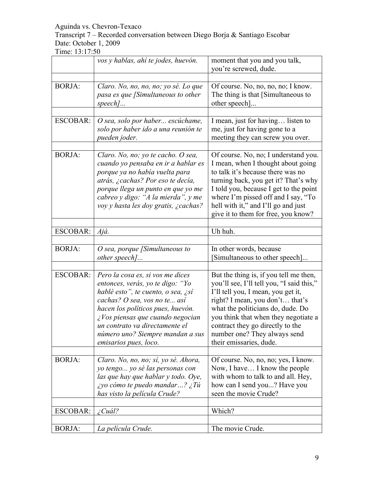# Transcript 7 – Recorded conversation between Diego Borja & Santiago Escobar Date: October 1, 2009

|                 | vos y hablas, ahí te jodes, huevón.                                                                                                                                                                                                                                                                                       | moment that you and you talk,<br>you're screwed, dude.                                                                                                                                                                                                                                                                                   |
|-----------------|---------------------------------------------------------------------------------------------------------------------------------------------------------------------------------------------------------------------------------------------------------------------------------------------------------------------------|------------------------------------------------------------------------------------------------------------------------------------------------------------------------------------------------------------------------------------------------------------------------------------------------------------------------------------------|
| <b>BORJA:</b>   | Claro. No, no, no, no; yo sé. Lo que<br>pasa es que [Simultaneous to other<br>$speed$                                                                                                                                                                                                                                     | Of course. No, no, no, no; I know.<br>The thing is that [Simultaneous to<br>other speech]                                                                                                                                                                                                                                                |
| <b>ESCOBAR:</b> | O sea, solo por haber escúchame,<br>solo por haber ido a una reunión te<br>pueden joder.                                                                                                                                                                                                                                  | I mean, just for having listen to<br>me, just for having gone to a<br>meeting they can screw you over.                                                                                                                                                                                                                                   |
| <b>BORJA:</b>   | Claro. No, no; yo te cacho. O sea,<br>cuando yo pensaba en ir a hablar es<br>porque ya no había vuelta para<br>atrás, ¿cachas? Por eso te decía,<br>porque llega un punto en que yo me<br>cabreo y digo: "A la mierda", y me<br>voy y hasta les doy gratis, ¿cachas?                                                      | Of course. No, no; I understand you.<br>I mean, when I thought about going<br>to talk it's because there was no<br>turning back, you get it? That's why<br>I told you, because I get to the point<br>where I'm pissed off and I say, "To<br>hell with it," and I'll go and just<br>give it to them for free, you know?                   |
| <b>ESCOBAR:</b> | Ajá.                                                                                                                                                                                                                                                                                                                      | Uh huh.                                                                                                                                                                                                                                                                                                                                  |
| <b>BORJA:</b>   | $O$ sea, porque [Simultaneous to<br>other speech]                                                                                                                                                                                                                                                                         | In other words, because<br>[Simultaneous to other speech]                                                                                                                                                                                                                                                                                |
| <b>ESCOBAR:</b> | Pero la cosa es, si vos me dices<br>entonces, verás, yo te digo: "Yo<br>hablé esto", te cuento, o sea, ¿sí<br>cachas? O sea, vos no te así<br>hacen los políticos pues, huevón.<br>$\zeta$ Vos piensas que cuando negocian<br>un contrato va directamente el<br>número uno? Siempre mandan a sus<br>emisarios pues, loco. | But the thing is, if you tell me then,<br>you'll see, I'll tell you, "I said this,"<br>I'll tell you, I mean, you get it,<br>right? I mean, you don't that's<br>what the politicians do, dude. Do<br>you think that when they negotiate a<br>contract they go directly to the<br>number one? They always send<br>their emissaries, dude. |
| <b>BORJA:</b>   | Claro. No, no, no; sí, yo sé. Ahora,<br>yo tengo yo sé las personas con<br>las que hay que hablar y todo. Oye,<br><i>iyo cómo te puedo mandar</i> ? <i>iTú</i><br>has visto la película Crude?                                                                                                                            | Of course. No, no, no; yes, I know.<br>Now, I have I know the people<br>with whom to talk to and all. Hey,<br>how can I send you? Have you<br>seen the movie Crude?                                                                                                                                                                      |
| <b>ESCOBAR:</b> | <i>i</i> Cuál?                                                                                                                                                                                                                                                                                                            | Which?                                                                                                                                                                                                                                                                                                                                   |
| <b>BORJA:</b>   | La película Crude.                                                                                                                                                                                                                                                                                                        | The movie Crude.                                                                                                                                                                                                                                                                                                                         |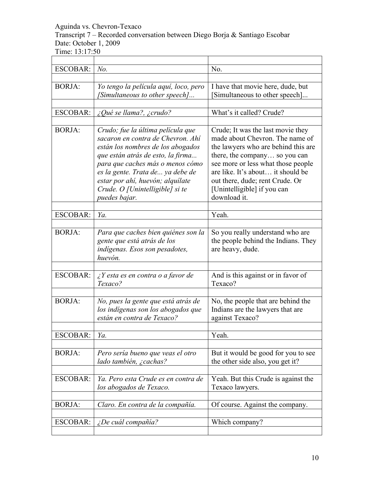Transcript 7 – Recorded conversation between Diego Borja & Santiago Escobar Date: October 1, 2009

Time: 13:17:50

| ESCOBAR:        | No.                                                                                                                                                                                                                                                                                                               | No.                                                                                                                                                                                                                                                                                                       |
|-----------------|-------------------------------------------------------------------------------------------------------------------------------------------------------------------------------------------------------------------------------------------------------------------------------------------------------------------|-----------------------------------------------------------------------------------------------------------------------------------------------------------------------------------------------------------------------------------------------------------------------------------------------------------|
| <b>BORJA:</b>   | Yo tengo la película aquí, loco, pero<br>[Simultaneous to other speech]                                                                                                                                                                                                                                           | I have that movie here, dude, but<br>Simultaneous to other speech]                                                                                                                                                                                                                                        |
| <b>ESCOBAR:</b> | $\Omega$ <i>iQué se llama?</i> , $\Omega$ <i>icrudo?</i>                                                                                                                                                                                                                                                          | What's it called? Crude?                                                                                                                                                                                                                                                                                  |
| <b>BORJA:</b>   | Crudo; fue la última película que<br>sacaron en contra de Chevron. Ahí<br>están los nombres de los abogados<br>que están atrás de esto, la firma<br>para que caches más o menos cómo<br>es la gente. Trata de  ya debe de<br>estar por ahí, huevón; alquilate<br>Crude. O [Unintelligible] si te<br>puedes bajar. | Crude; It was the last movie they<br>made about Chevron. The name of<br>the lawyers who are behind this are<br>there, the company so you can<br>see more or less what those people<br>are like. It's about it should be<br>out there, dude; rent Crude. Or<br>[Unintelligible] if you can<br>download it. |
|                 |                                                                                                                                                                                                                                                                                                                   |                                                                                                                                                                                                                                                                                                           |
| <b>ESCOBAR:</b> | Ya.                                                                                                                                                                                                                                                                                                               | Yeah.                                                                                                                                                                                                                                                                                                     |
| <b>BORJA:</b>   | Para que caches bien quiénes son la<br>gente que está atrás de los<br>indígenas. Esos son pesadotes,<br>huevón.                                                                                                                                                                                                   | So you really understand who are<br>the people behind the Indians. They<br>are heavy, dude.                                                                                                                                                                                                               |
| <b>ESCOBAR:</b> | $\lambda$ Y esta es en contra o a favor de                                                                                                                                                                                                                                                                        | And is this against or in favor of                                                                                                                                                                                                                                                                        |
|                 | Texaco?                                                                                                                                                                                                                                                                                                           | Texaco?                                                                                                                                                                                                                                                                                                   |
| <b>BORJA:</b>   | No, pues la gente que está atrás de<br>los indígenas son los abogados que<br>están en contra de Texaco?                                                                                                                                                                                                           | No, the people that are behind the<br>Indians are the lawyers that are<br>against Texaco?                                                                                                                                                                                                                 |
| <b>ESCOBAR:</b> | Ya.                                                                                                                                                                                                                                                                                                               | Yeah.                                                                                                                                                                                                                                                                                                     |
|                 |                                                                                                                                                                                                                                                                                                                   |                                                                                                                                                                                                                                                                                                           |
| <b>BORJA:</b>   | Pero sería bueno que veas el otro<br>lado también, ¿cachas?                                                                                                                                                                                                                                                       | But it would be good for you to see<br>the other side also, you get it?                                                                                                                                                                                                                                   |
| <b>ESCOBAR:</b> | Ya. Pero esta Crude es en contra de<br>los abogados de Texaco.                                                                                                                                                                                                                                                    | Yeah. But this Crude is against the<br>Texaco lawyers.                                                                                                                                                                                                                                                    |
| <b>BORJA:</b>   | Claro. En contra de la compañía.                                                                                                                                                                                                                                                                                  | Of course. Against the company.                                                                                                                                                                                                                                                                           |
| ESCOBAR:        | ¿De cuál compañía?                                                                                                                                                                                                                                                                                                | Which company?                                                                                                                                                                                                                                                                                            |

÷,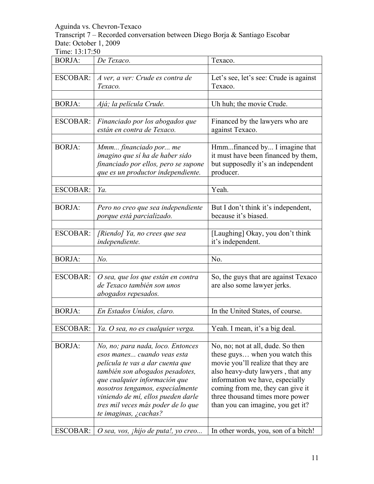Transcript 7 – Recorded conversation between Diego Borja & Santiago Escobar Date: October 1, 2009

| <b>BORJA:</b>   | De Texaco.                                                                                                                                                                                                                                                                                                        | Texaco.                                                                                                                                                                                                                                                                                       |
|-----------------|-------------------------------------------------------------------------------------------------------------------------------------------------------------------------------------------------------------------------------------------------------------------------------------------------------------------|-----------------------------------------------------------------------------------------------------------------------------------------------------------------------------------------------------------------------------------------------------------------------------------------------|
| <b>ESCOBAR:</b> | A ver, a ver: Crude es contra de<br>Texaco.                                                                                                                                                                                                                                                                       | Let's see, let's see: Crude is against<br>Texaco.                                                                                                                                                                                                                                             |
| <b>BORJA:</b>   | Ajá; la película Crude.                                                                                                                                                                                                                                                                                           | Uh huh; the movie Crude.                                                                                                                                                                                                                                                                      |
| <b>ESCOBAR:</b> | Financiado por los abogados que<br>están en contra de Texaco.                                                                                                                                                                                                                                                     | Financed by the lawyers who are<br>against Texaco.                                                                                                                                                                                                                                            |
| <b>BORJA:</b>   | Mmm financiado por me<br>imagino que sí ha de haber sido<br>financiado por ellos, pero se supone<br>que es un productor independiente.                                                                                                                                                                            | Hmmfinanced by I imagine that<br>it must have been financed by them,<br>but supposedly it's an independent<br>producer.                                                                                                                                                                       |
| <b>ESCOBAR:</b> | Ya.                                                                                                                                                                                                                                                                                                               | Yeah.                                                                                                                                                                                                                                                                                         |
| <b>BORJA:</b>   | Pero no creo que sea independiente<br>porque está parcializado.                                                                                                                                                                                                                                                   | But I don't think it's independent,<br>because it's biased.                                                                                                                                                                                                                                   |
| <b>ESCOBAR:</b> | [Riendo] Ya, no crees que sea<br>independiente.                                                                                                                                                                                                                                                                   | [Laughing] Okay, you don't think<br>it's independent.                                                                                                                                                                                                                                         |
| <b>BORJA:</b>   | $No$ .                                                                                                                                                                                                                                                                                                            | No.                                                                                                                                                                                                                                                                                           |
| <b>ESCOBAR:</b> | O sea, que los que están en contra<br>de Texaco también son unos<br>abogados repesados.                                                                                                                                                                                                                           | So, the guys that are against Texaco<br>are also some lawyer jerks.                                                                                                                                                                                                                           |
| <b>BORJA:</b>   | En Estados Unidos, claro.                                                                                                                                                                                                                                                                                         | In the United States, of course.                                                                                                                                                                                                                                                              |
|                 | ESCOBAR:   Ya. O sea, no es cualquier verga.                                                                                                                                                                                                                                                                      | Yeah. I mean, it's a big deal.                                                                                                                                                                                                                                                                |
| <b>BORJA:</b>   | No, no; para nada, loco. Entonces<br>esos manes cuando veas esta<br>película te vas a dar cuenta que<br>también son abogados pesadotes,<br>que cualquier información que<br>nosotros tengamos, especialmente<br>viniendo de mí, ellos pueden darle<br>tres mil veces más poder de lo que<br>te imaginas, ¿cachas? | No, no; not at all, dude. So then<br>these guys when you watch this<br>movie you'll realize that they are<br>also heavy-duty lawyers, that any<br>information we have, especially<br>coming from me, they can give it<br>three thousand times more power<br>than you can imagine, you get it? |
| ESCOBAR:        | O sea, vos, <i>ihijo de puta!</i> , yo creo                                                                                                                                                                                                                                                                       | In other words, you, son of a bitch!                                                                                                                                                                                                                                                          |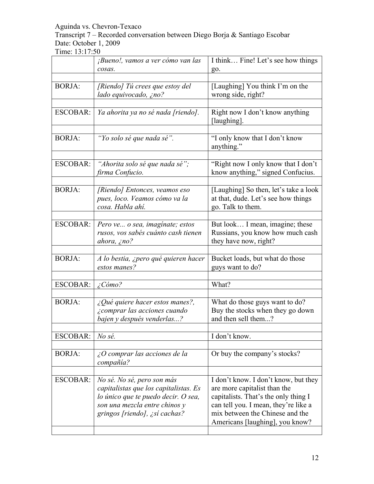Transcript 7 – Recorded conversation between Diego Borja & Santiago Escobar Date: October 1, 2009

|                 | <i>¡Bueno!, vamos a ver cómo van las</i>                                                                                                                                     | I think Fine! Let's see how things                                                                                                                                                                                         |
|-----------------|------------------------------------------------------------------------------------------------------------------------------------------------------------------------------|----------------------------------------------------------------------------------------------------------------------------------------------------------------------------------------------------------------------------|
|                 | cosas.                                                                                                                                                                       | go.                                                                                                                                                                                                                        |
| <b>BORJA:</b>   | [Riendo] Tú crees que estoy del<br>lado equivocado, ¿no?                                                                                                                     | [Laughing] You think I'm on the<br>wrong side, right?                                                                                                                                                                      |
| <b>ESCOBAR:</b> | Ya ahorita ya no sé nada [riendo].                                                                                                                                           | Right now I don't know anything<br>[laughing].                                                                                                                                                                             |
| <b>BORJA:</b>   | "Yo solo sé que nada sé".                                                                                                                                                    | "I only know that I don't know<br>anything."                                                                                                                                                                               |
| <b>ESCOBAR:</b> | "Ahorita solo sé que nada sé";<br>firma Confucio.                                                                                                                            | "Right now I only know that I don't<br>know anything," signed Confucius.                                                                                                                                                   |
| <b>BORJA:</b>   | [Riendo] Entonces, veamos eso<br>pues, loco. Veamos cómo va la<br>cosa. Habla ahí.                                                                                           | [Laughing] So then, let's take a look<br>at that, dude. Let's see how things<br>go. Talk to them.                                                                                                                          |
| <b>ESCOBAR:</b> | Pero ve o sea, imaginate; estos<br>rusos, vos sabés cuánto cash tienen<br>ahora, $\zeta$ no?                                                                                 | But look I mean, imagine; these<br>Russians, you know how much cash<br>they have now, right?                                                                                                                               |
| <b>BORJA:</b>   | A lo bestia, ¿pero qué quieren hacer<br>estos manes?                                                                                                                         | Bucket loads, but what do those<br>guys want to do?                                                                                                                                                                        |
| <b>ESCOBAR:</b> | $\angle$ Cómo?                                                                                                                                                               | What?                                                                                                                                                                                                                      |
| <b>BORJA:</b>   | $\lambda$ Qué quiere hacer estos manes?,<br>¿comprar las acciones cuando<br>bajen y después venderlas?                                                                       | What do those guys want to do?<br>Buy the stocks when they go down<br>and then sell them?                                                                                                                                  |
| <b>ESCOBAR:</b> | No sé.                                                                                                                                                                       | I don't know.                                                                                                                                                                                                              |
| <b>BORJA:</b>   | $\lambda$ O comprar las acciones de la<br>compañía?                                                                                                                          | Or buy the company's stocks?                                                                                                                                                                                               |
| <b>ESCOBAR:</b> | No sé. No sé, pero son más<br>capitalistas que los capitalistas. Es<br>lo único que te puedo decir. O sea,<br>son una mezcla entre chinos y<br>gringos [riendo], ¿sí cachas? | I don't know. I don't know, but they<br>are more capitalist than the<br>capitalists. That's the only thing I<br>can tell you. I mean, they're like a<br>mix between the Chinese and the<br>Americans [laughing], you know? |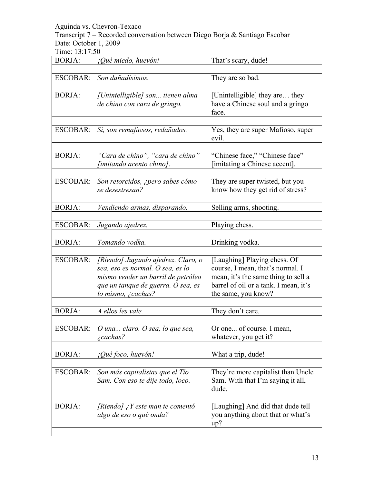Transcript 7 – Recorded conversation between Diego Borja & Santiago Escobar Date: October 1, 2009

| <b>BORJA:</b>   | ¡Qué miedo, huevón!                                                                                                                                                      | That's scary, dude!                                                                                                                                                     |  |
|-----------------|--------------------------------------------------------------------------------------------------------------------------------------------------------------------------|-------------------------------------------------------------------------------------------------------------------------------------------------------------------------|--|
|                 |                                                                                                                                                                          |                                                                                                                                                                         |  |
| <b>ESCOBAR:</b> | Son dañadísimos.                                                                                                                                                         | They are so bad.                                                                                                                                                        |  |
| <b>BORJA:</b>   | [Unintelligible] son tienen alma<br>de chino con cara de gringo.                                                                                                         | [Unintelligible] they are they<br>have a Chinese soul and a gringo<br>face.                                                                                             |  |
| <b>ESCOBAR:</b> | Sí, son remafiosos, redañados.                                                                                                                                           | Yes, they are super Mafioso, super<br>evil.                                                                                                                             |  |
| <b>BORJA:</b>   | "Cara de chino", "cara de chino"<br>[imitando acento chino].                                                                                                             | "Chinese face," "Chinese face"<br>[imitating a Chinese accent].                                                                                                         |  |
| <b>ESCOBAR:</b> | Son retorcidos, ¿pero sabes cómo<br>se desestresan?                                                                                                                      | They are super twisted, but you<br>know how they get rid of stress?                                                                                                     |  |
| <b>BORJA:</b>   | Vendiendo armas, disparando.                                                                                                                                             | Selling arms, shooting.                                                                                                                                                 |  |
| <b>ESCOBAR:</b> | Jugando ajedrez.                                                                                                                                                         | Playing chess.                                                                                                                                                          |  |
| <b>BORJA:</b>   | Tomando vodka.                                                                                                                                                           | Drinking vodka.                                                                                                                                                         |  |
| <b>ESCOBAR:</b> | [Riendo] Jugando ajedrez. Claro, o<br>sea, eso es normal. O sea, es lo<br>mismo vender un barril de petróleo<br>que un tanque de guerra. O sea, es<br>lo mismo, ¿cachas? | [Laughing] Playing chess. Of<br>course, I mean, that's normal. I<br>mean, it's the same thing to sell a<br>barrel of oil or a tank. I mean, it's<br>the same, you know? |  |
| <b>BORJA:</b>   | A ellos les vale.                                                                                                                                                        | They don't care.                                                                                                                                                        |  |
|                 | ESCOBAR: $\vert$ O una claro. O sea, lo que sea,<br>$\zeta$ cachas?                                                                                                      | Or one of course. I mean,<br>whatever, you get it?                                                                                                                      |  |
| <b>BORJA:</b>   | ¡Qué foco, huevón!                                                                                                                                                       | What a trip, dude!                                                                                                                                                      |  |
| <b>ESCOBAR:</b> | Son más capitalistas que el Tío<br>Sam. Con eso te dije todo, loco.                                                                                                      | They're more capitalist than Uncle<br>Sam. With that I'm saying it all,<br>dude.                                                                                        |  |
| <b>BORJA:</b>   | [Riendo] $\chi$ Y este man te comentó<br>algo de eso o qué onda?                                                                                                         | [Laughing] And did that dude tell<br>you anything about that or what's<br>up?                                                                                           |  |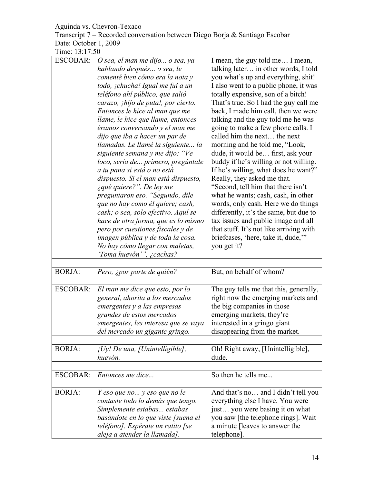| Transcript 7 – Recorded conversation between Diego Borja & Santiago Escobar |  |
|-----------------------------------------------------------------------------|--|
| Date: October 1, 2009                                                       |  |

| <b>ESCOBAR:</b> | O sea, el man me dijo o sea, ya                                          | I mean, the guy told me I mean,                                       |  |
|-----------------|--------------------------------------------------------------------------|-----------------------------------------------------------------------|--|
|                 | hablando después o sea, le                                               | talking later in other words, I told                                  |  |
|                 | comenté bien cómo era la nota y                                          | you what's up and everything, shit!                                   |  |
|                 | todo, ¡chucha! Igual me fui a un                                         | I also went to a public phone, it was                                 |  |
|                 | teléfono ahí público, que salió                                          | totally expensive, son of a bitch!                                    |  |
|                 | carazo, <i>ihijo de puta!</i> , por cierto.                              | That's true. So I had the guy call me                                 |  |
|                 | Entonces le hice al man que me                                           | back, I made him call, then we were                                   |  |
|                 | llame, le hice que llame, entonces                                       | talking and the guy told me he was                                    |  |
|                 | éramos conversando y el man me                                           | going to make a few phone calls. I                                    |  |
|                 | dijo que iba a hacer un par de                                           | called him the next the next                                          |  |
|                 | llamadas. Le llamé la siguiente la                                       | morning and he told me, "Look,                                        |  |
|                 | siguiente semana y me dijo: "Ve                                          | dude, it would be first, ask your                                     |  |
|                 | loco, sería de primero, pregúntale                                       | buddy if he's willing or not willing.                                 |  |
|                 | a tu pana si está o no está                                              | If he's willing, what does he want?"                                  |  |
|                 | dispuesto. Si el man está dispuesto,                                     | Really, they asked me that.                                           |  |
|                 | <i>i</i> qué quiere?". De ley me                                         | "Second, tell him that there isn't                                    |  |
|                 | preguntaron eso. "Segundo, dile                                          | what he wants; cash, cash, in other                                   |  |
|                 | que no hay como él quiere; cash,                                         | words, only cash. Here we do things                                   |  |
|                 | cash; o sea, solo efectivo. Aquí se                                      | differently, it's the same, but due to                                |  |
|                 | hace de otra forma, que es lo mismo                                      | tax issues and public image and all                                   |  |
|                 | pero por cuestiones fiscales y de                                        | that stuff. It's not like arriving with                               |  |
|                 | imagen pública y de toda la cosa.                                        | briefcases, 'here, take it, dude,"                                    |  |
|                 | No hay cómo llegar con maletas,                                          | you get it?                                                           |  |
|                 | 'Toma huevón'", ¿cachas?                                                 |                                                                       |  |
|                 |                                                                          |                                                                       |  |
| <b>BORJA:</b>   | Pero, ¿por parte de quién?                                               | But, on behalf of whom?                                               |  |
|                 |                                                                          |                                                                       |  |
| <b>ESCOBAR:</b> | El man me dice que esto, por lo                                          | The guy tells me that this, generally,                                |  |
|                 | general, ahorita a los mercados                                          | right now the emerging markets and                                    |  |
|                 | emergentes y a las empresas                                              | the big companies in those                                            |  |
|                 | grandes de estos mercados                                                | emerging markets, they're                                             |  |
|                 | emergentes, les interesa que se vaya                                     | interested in a gringo giant                                          |  |
|                 | del mercado un gigante gringo.                                           | disappearing from the market.                                         |  |
|                 |                                                                          |                                                                       |  |
| <b>BORJA:</b>   | $iUy!$ De una, [Unintelligible],                                         | Oh! Right away, [Unintelligible],                                     |  |
|                 | huevón.                                                                  | dude.                                                                 |  |
| <b>ESCOBAR:</b> | Entonces me dice                                                         | So then he tells me                                                   |  |
|                 |                                                                          |                                                                       |  |
| <b>BORJA:</b>   | Y eso que no y eso que no le                                             | And that's no and I didn't tell you                                   |  |
|                 | contaste todo lo demás que tengo.                                        | everything else I have. You were                                      |  |
|                 | Simplemente estabas estabas                                              | just you were basing it on what                                       |  |
|                 |                                                                          |                                                                       |  |
|                 |                                                                          |                                                                       |  |
|                 | basándote en lo que viste [suena el<br>teléfono]. Espérate un ratito [se | you saw [the telephone rings]. Wait<br>a minute [leaves to answer the |  |